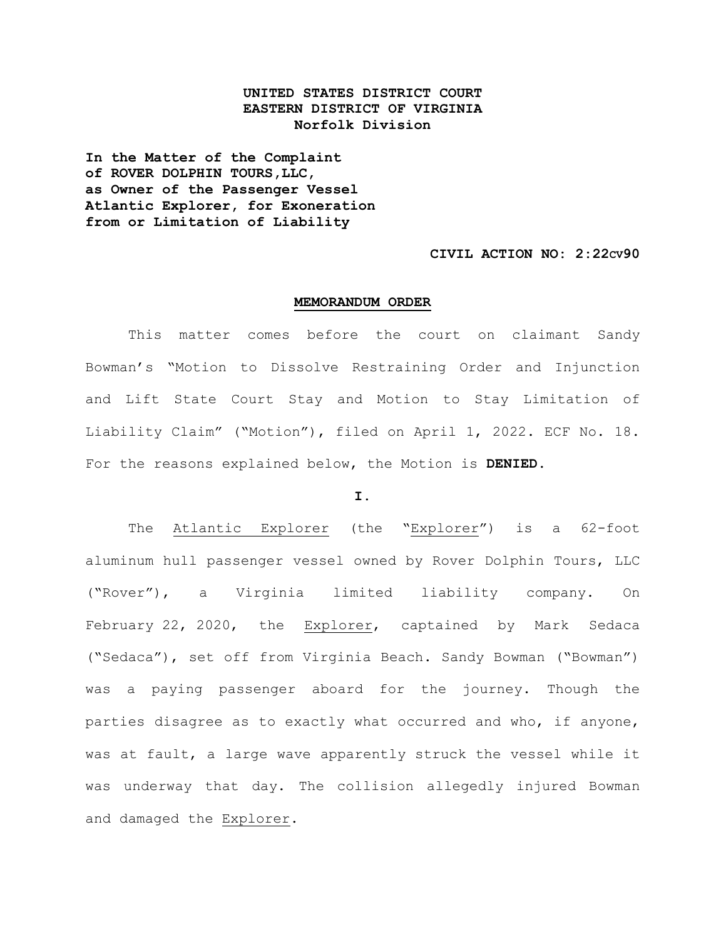# **UNITED STATES DISTRICT COURT EASTERN DISTRICT OF VIRGINIA Norfolk Division**

**In the Matter of the Complaint of ROVER DOLPHIN TOURS,LLC, as Owner of the Passenger Vessel Atlantic Explorer, for Exoneration from or Limitation of Liability**

# **CIVIL ACTION NO: 2:22CV90**

### **MEMORANDUM ORDER**

This matter comes before the court on claimant Sandy Bowman's "Motion to Dissolve Restraining Order and Injunction and Lift State Court Stay and Motion to Stay Limitation of Liability Claim" ("Motion"), filed on April 1, 2022. ECF No. 18. For the reasons explained below, the Motion is **DENIED**.

### **I.**

The Atlantic Explorer (the "Explorer") is a 62-foot aluminum hull passenger vessel owned by Rover Dolphin Tours, LLC ("Rover"), a Virginia limited liability company. On February 22, 2020, the Explorer, captained by Mark Sedaca ("Sedaca"), set off from Virginia Beach. Sandy Bowman ("Bowman") was a paying passenger aboard for the journey. Though the parties disagree as to exactly what occurred and who, if anyone, was at fault, a large wave apparently struck the vessel while it was underway that day. The collision allegedly injured Bowman and damaged the Explorer.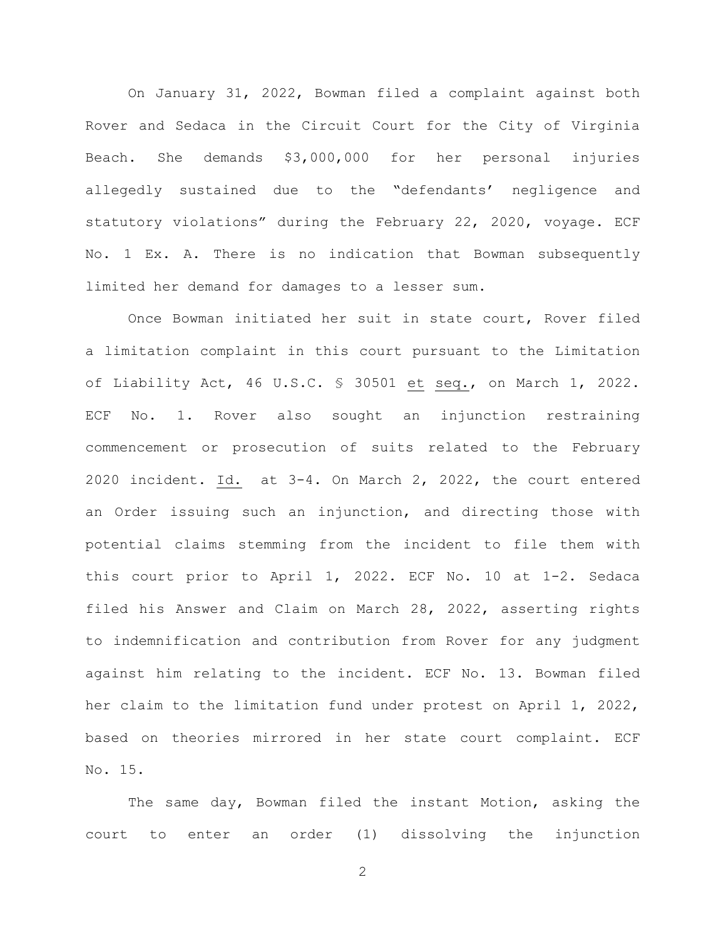On January 31, 2022, Bowman filed a complaint against both Rover and Sedaca in the Circuit Court for the City of Virginia Beach. She demands \$3,000,000 for her personal injuries allegedly sustained due to the "defendants' negligence and statutory violations" during the February 22, 2020, voyage. ECF No. 1 Ex. A. There is no indication that Bowman subsequently limited her demand for damages to a lesser sum.

Once Bowman initiated her suit in state court, Rover filed a limitation complaint in this court pursuant to the Limitation of Liability Act, 46 U.S.C. § 30501 et seq., on March 1, 2022. ECF No. 1. Rover also sought an injunction restraining commencement or prosecution of suits related to the February 2020 incident. Id. at 3-4. On March 2, 2022, the court entered an Order issuing such an injunction, and directing those with potential claims stemming from the incident to file them with this court prior to April 1, 2022. ECF No. 10 at 1-2. Sedaca filed his Answer and Claim on March 28, 2022, asserting rights to indemnification and contribution from Rover for any judgment against him relating to the incident. ECF No. 13. Bowman filed her claim to the limitation fund under protest on April 1, 2022, based on theories mirrored in her state court complaint. ECF No. 15.

The same day, Bowman filed the instant Motion, asking the court to enter an order (1) dissolving the injunction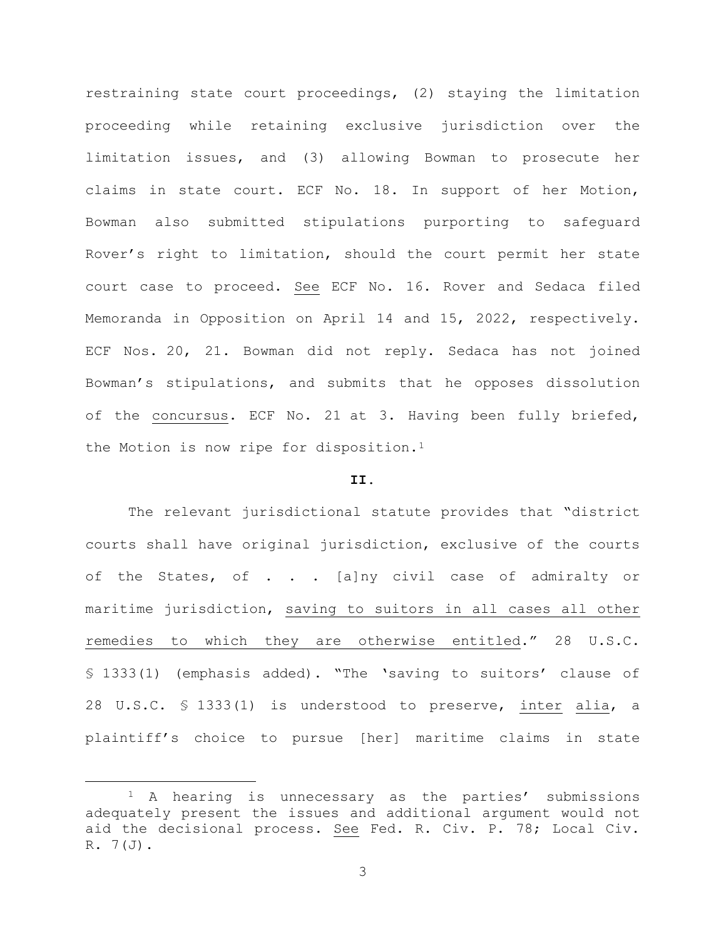restraining state court proceedings, (2) staying the limitation proceeding while retaining exclusive jurisdiction over the limitation issues, and (3) allowing Bowman to prosecute her claims in state court. ECF No. 18. In support of her Motion, Bowman also submitted stipulations purporting to safeguard Rover's right to limitation, should the court permit her state court case to proceed. See ECF No. 16. Rover and Sedaca filed Memoranda in Opposition on April 14 and 15, 2022, respectively. ECF Nos. 20, 21. Bowman did not reply. Sedaca has not joined Bowman's stipulations, and submits that he opposes dissolution of the concursus. ECF No. 21 at 3. Having been fully briefed, the Motion is now ripe for disposition.<sup>[1](#page-2-0)</sup>

## **II.**

The relevant jurisdictional statute provides that "district courts shall have original jurisdiction, exclusive of the courts of the States, of . . . [a]ny civil case of admiralty or maritime jurisdiction, saving to suitors in all cases all other remedies to which they are otherwise entitled." 28 U.S.C. § 1333(1) (emphasis added). "The 'saving to suitors' clause of 28 U.S.C. § 1333(1) is understood to preserve, inter alia, a plaintiff's choice to pursue [her] maritime claims in state

<span id="page-2-0"></span><sup>1</sup> A hearing is unnecessary as the parties' submissions adequately present the issues and additional argument would not aid the decisional process. See Fed. R. Civ. P. 78; Local Civ.  $R. 7(J).$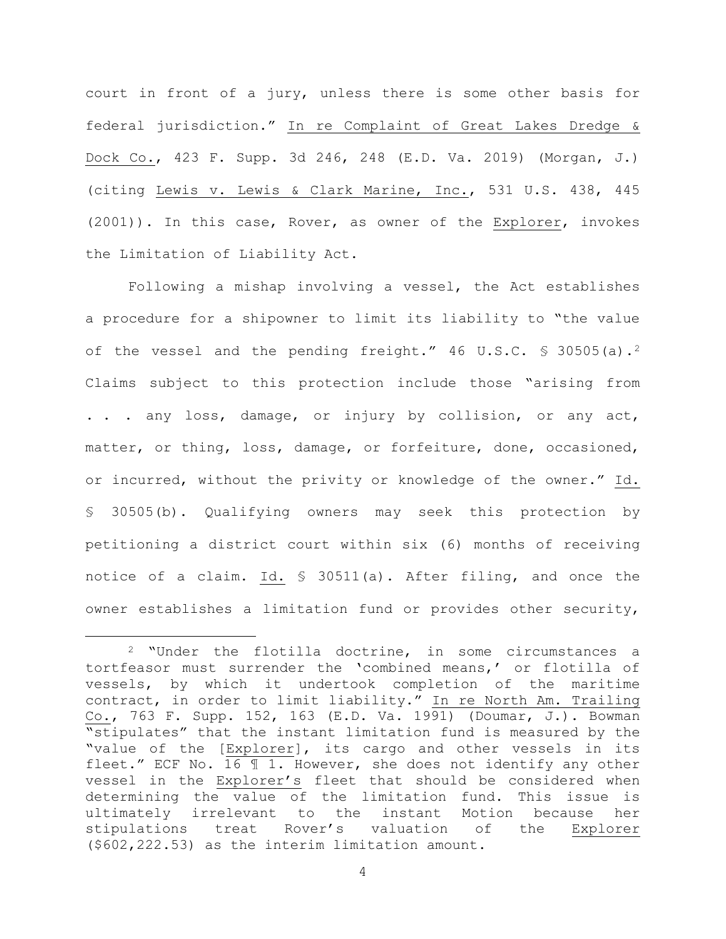court in front of a jury, unless there is some other basis for federal jurisdiction." In re Complaint of Great Lakes Dredge & Dock Co., 423 F. Supp. 3d 246, 248 (E.D. Va. 2019) (Morgan, J.) (citing Lewis v. Lewis & Clark Marine, Inc., 531 U.S. 438, 445 (2001)). In this case, Rover, as owner of the Explorer, invokes the Limitation of Liability Act.

Following a mishap involving a vessel, the Act establishes a procedure for a shipowner to limit its liability to "the value of the vessel and the pending freight." 46 U.S.C. \$ 30505(a).<sup>[2](#page-3-0)</sup> Claims subject to this protection include those "arising from . . . any loss, damage, or injury by collision, or any act, matter, or thing, loss, damage, or forfeiture, done, occasioned, or incurred, without the privity or knowledge of the owner." Id. § 30505(b). Qualifying owners may seek this protection by petitioning a district court within six (6) months of receiving notice of a claim. Id. § 30511(a). After filing, and once the owner establishes a limitation fund or provides other security,

<span id="page-3-0"></span><sup>2</sup> "Under the flotilla doctrine, in some circumstances a tortfeasor must surrender the 'combined means,' or flotilla of vessels, by which it undertook completion of the maritime contract, in order to limit liability." In re North Am. Trailing Co., 763 F. Supp. 152, 163 (E.D. Va. 1991) (Doumar, J.). Bowman "stipulates" that the instant limitation fund is measured by the "value of the [Explorer], its cargo and other vessels in its fleet." ECF No. 16 ¶ 1. However, she does not identify any other vessel in the Explorer's fleet that should be considered when determining the value of the limitation fund. This issue is ultimately irrelevant to the instant Motion because her stipulations treat Rover's valuation of the Explorer (\$602,222.53) as the interim limitation amount.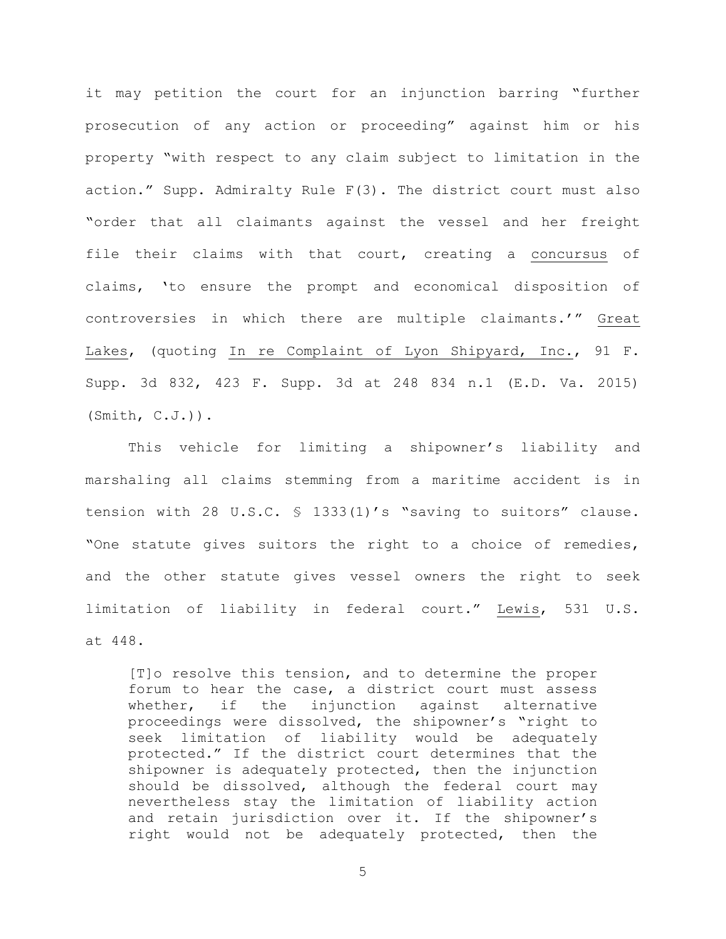it may petition the court for an injunction barring "further prosecution of any action or proceeding" against him or his property "with respect to any claim subject to limitation in the action." Supp. Admiralty Rule F(3). The district court must also "order that all claimants against the vessel and her freight file their claims with that court, creating a concursus of claims, 'to ensure the prompt and economical disposition of controversies in which there are multiple claimants.'" Great Lakes, (quoting In re Complaint of Lyon Shipyard, Inc., 91 F. Supp. 3d 832, 423 F. Supp. 3d at 248 834 n.1 (E.D. Va. 2015) (Smith, C.J.)).

This vehicle for limiting a shipowner's liability and marshaling all claims stemming from a maritime accident is in tension with 28 U.S.C. § 1333(1)'s "saving to suitors" clause. "One statute gives suitors the right to a choice of remedies, and the other statute gives vessel owners the right to seek limitation of liability in federal court." Lewis, 531 U.S. at 448.

[T]o resolve this tension, and to determine the proper forum to hear the case, a district court must assess whether, if the injunction against alternative proceedings were dissolved, the shipowner's "right to seek limitation of liability would be adequately protected." If the district court determines that the shipowner is adequately protected, then the injunction should be dissolved, although the federal court may nevertheless stay the limitation of liability action and retain jurisdiction over it. If the shipowner's right would not be adequately protected, then the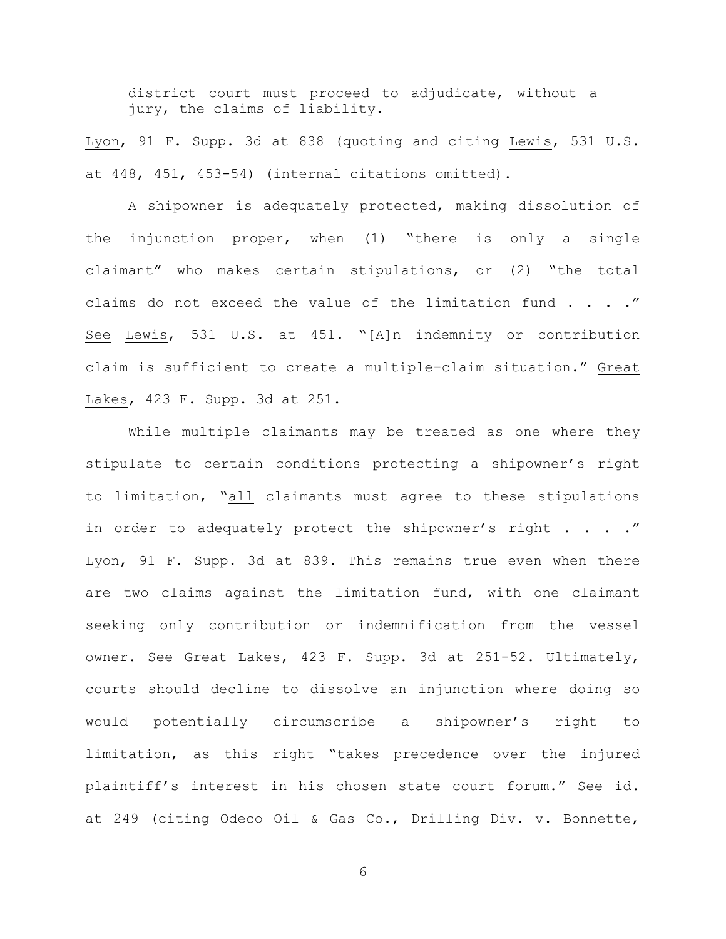district court must proceed to adjudicate, without a jury, the claims of liability.

Lyon, 91 F. Supp. 3d at 838 (quoting and citing Lewis, 531 U.S. at 448, 451, 453-54) (internal citations omitted).

A shipowner is adequately protected, making dissolution of the injunction proper, when (1) "there is only a single claimant" who makes certain stipulations, or (2) "the total claims do not exceed the value of the limitation fund . . . ." See Lewis, 531 U.S. at 451. "[A]n indemnity or contribution claim is sufficient to create a multiple-claim situation." Great Lakes, 423 F. Supp. 3d at 251.

While multiple claimants may be treated as one where they stipulate to certain conditions protecting a shipowner's right to limitation, "all claimants must agree to these stipulations in order to adequately protect the shipowner's right . . . ." Lyon, 91 F. Supp. 3d at 839. This remains true even when there are two claims against the limitation fund, with one claimant seeking only contribution or indemnification from the vessel owner. See Great Lakes, 423 F. Supp. 3d at 251-52. Ultimately, courts should decline to dissolve an injunction where doing so would potentially circumscribe a shipowner's right to limitation, as this right "takes precedence over the injured plaintiff's interest in his chosen state court forum." See id. at 249 (citing Odeco Oil & Gas Co., Drilling Div. v. Bonnette,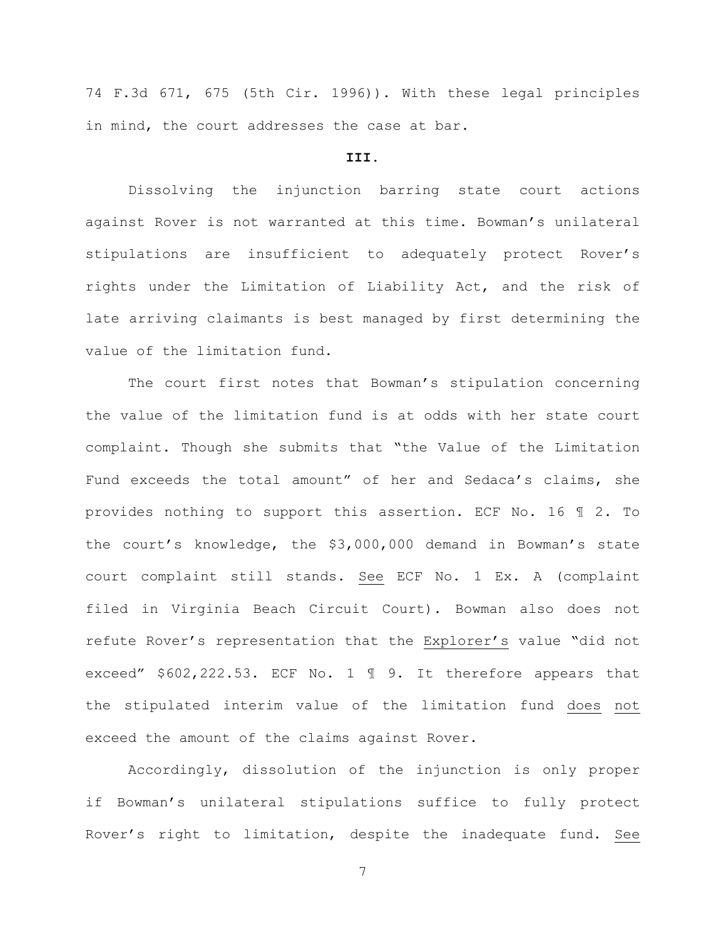74 F.3d 671, 675 (5th Cir. 1996)). With these legal principles in mind, the court addresses the case at bar.

# **III.**

Dissolving the injunction barring state court actions against Rover is not warranted at this time. Bowman's unilateral stipulations are insufficient to adequately protect Rover's rights under the Limitation of Liability Act, and the risk of late arriving claimants is best managed by first determining the value of the limitation fund.

The court first notes that Bowman's stipulation concerning the value of the limitation fund is at odds with her state court complaint. Though she submits that "the Value of the Limitation Fund exceeds the total amount" of her and Sedaca's claims, she provides nothing to support this assertion. ECF No. 16 ¶ 2. To the court's knowledge, the \$3,000,000 demand in Bowman's state court complaint still stands. See ECF No. 1 Ex. A (complaint filed in Virginia Beach Circuit Court). Bowman also does not refute Rover's representation that the Explorer's value "did not exceed" \$602,222.53. ECF No. 1 ¶ 9. It therefore appears that the stipulated interim value of the limitation fund does not exceed the amount of the claims against Rover.

Accordingly, dissolution of the injunction is only proper if Bowman's unilateral stipulations suffice to fully protect Rover's right to limitation, despite the inadequate fund. See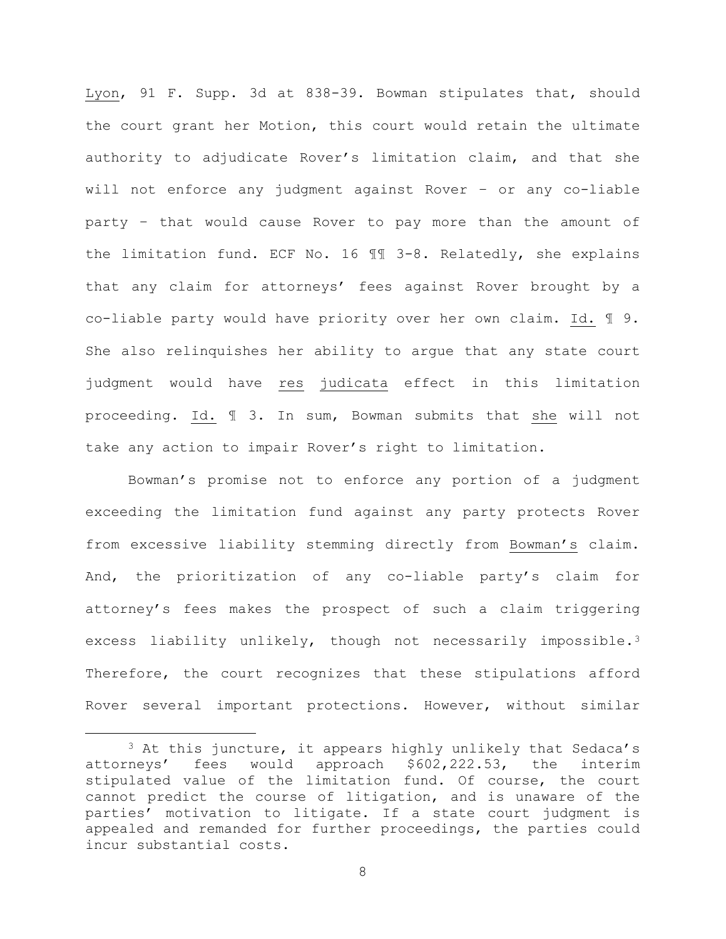Lyon, 91 F. Supp. 3d at 838-39. Bowman stipulates that, should the court grant her Motion, this court would retain the ultimate authority to adjudicate Rover's limitation claim, and that she will not enforce any judgment against Rover – or any co-liable party – that would cause Rover to pay more than the amount of the limitation fund. ECF No. 16 ¶¶ 3-8. Relatedly, she explains that any claim for attorneys' fees against Rover brought by a co-liable party would have priority over her own claim. Id. ¶ 9. She also relinquishes her ability to argue that any state court judgment would have res judicata effect in this limitation proceeding. Id. ¶ 3. In sum, Bowman submits that she will not take any action to impair Rover's right to limitation.

Bowman's promise not to enforce any portion of a judgment exceeding the limitation fund against any party protects Rover from excessive liability stemming directly from Bowman's claim. And, the prioritization of any co-liable party's claim for attorney's fees makes the prospect of such a claim triggering excess liability unlikely, though not necessarily impossible.[3](#page-7-0) Therefore, the court recognizes that these stipulations afford Rover several important protections. However, without similar

<span id="page-7-0"></span><sup>&</sup>lt;sup>3</sup> At this juncture, it appears highly unlikely that Sedaca's attorneys' fees would approach \$602,222.53, the interim stipulated value of the limitation fund. Of course, the court cannot predict the course of litigation, and is unaware of the parties' motivation to litigate. If a state court judgment is appealed and remanded for further proceedings, the parties could incur substantial costs.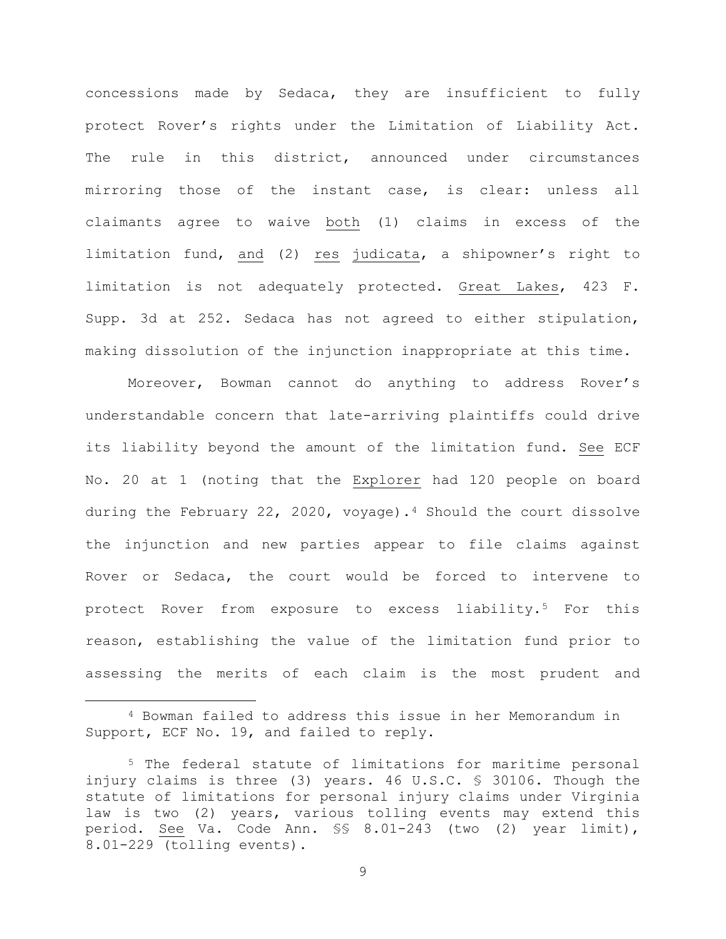concessions made by Sedaca, they are insufficient to fully protect Rover's rights under the Limitation of Liability Act. The rule in this district, announced under circumstances mirroring those of the instant case, is clear: unless all claimants agree to waive both (1) claims in excess of the limitation fund, and (2) res judicata, a shipowner's right to limitation is not adequately protected. Great Lakes, 423 F. Supp. 3d at 252. Sedaca has not agreed to either stipulation, making dissolution of the injunction inappropriate at this time.

Moreover, Bowman cannot do anything to address Rover's understandable concern that late-arriving plaintiffs could drive its liability beyond the amount of the limitation fund. See ECF No. 20 at 1 (noting that the Explorer had 120 people on board during the February 22, 2020, voyage).[4](#page-8-0) Should the court dissolve the injunction and new parties appear to file claims against Rover or Sedaca, the court would be forced to intervene to protect Rover from exposure to excess liability.[5](#page-8-1) For this reason, establishing the value of the limitation fund prior to assessing the merits of each claim is the most prudent and

<span id="page-8-0"></span><sup>4</sup> Bowman failed to address this issue in her Memorandum in Support, ECF No. 19, and failed to reply.

<span id="page-8-1"></span><sup>5</sup> The federal statute of limitations for maritime personal injury claims is three (3) years. 46 U.S.C. § 30106. Though the statute of limitations for personal injury claims under Virginia law is two (2) years, various tolling events may extend this period. See Va. Code Ann. §§ 8.01-243 (two (2) year limit), 8.01-229 (tolling events).